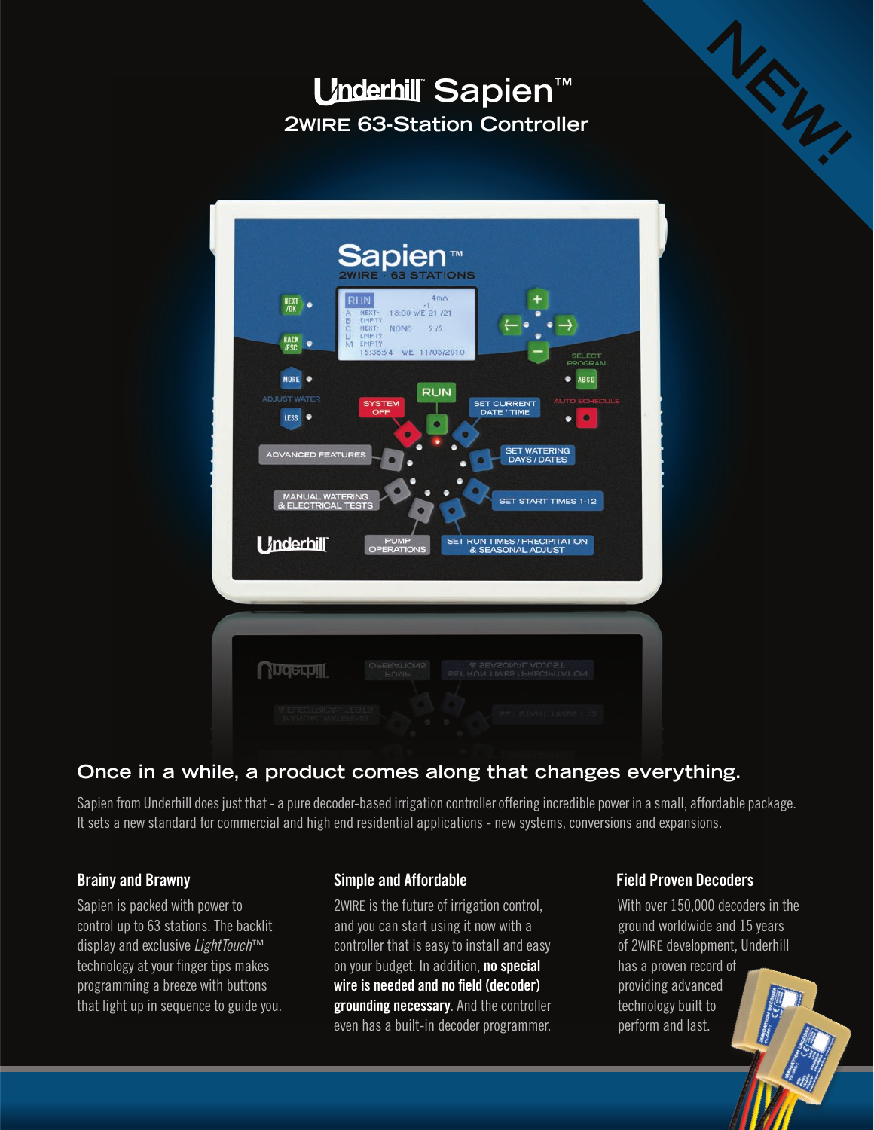# *<u>Underhill</u>* Sapien<sup>™</sup> **2WIRE 63-Station Controller**



# **Once in a while, a product comes along that changes everything.**

Sapien from Underhill does just that - a pure decoder-based irrigation controller offering incredible power in a small, affordable package. It sets a new standard for commercial and high end residential applications - new systems, conversions and expansions.

# **Brainy and Brawny**

Sapien is packed with power to control up to 63 stations. The backlit display and exclusive *LightTouch*™ technology at your finger tips makes programming a breeze with buttons that light up in sequence to guide you.

# **Simple and Affordable**

2WIRE is the future of irrigation control, and you can start using it now with a controller that is easy to install and easy on your budget. In addition, **no special wire is needed and no field (decoder) grounding necessary**. And the controller even has a built-in decoder programmer.

# **Field Proven Decoders**

With over 150,000 decoders in the ground worldwide and 15 years of 2WIRE development, Underhill has a proven record of providing advanced technology built to perform and last.

**NEW!**